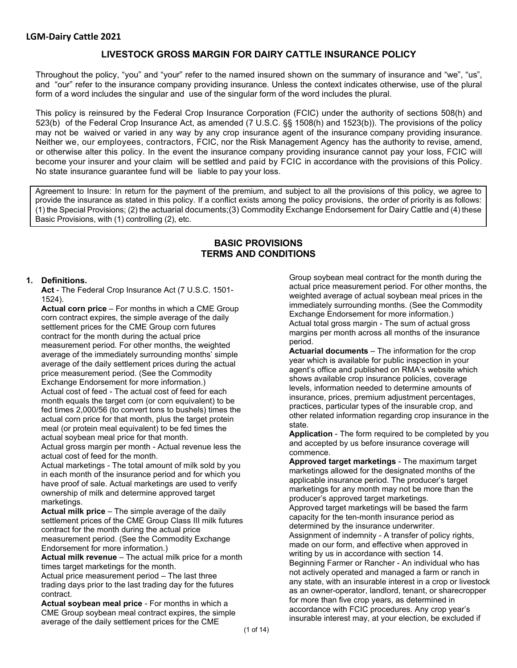# **LIVESTOCK GROSS MARGIN FOR DAIRY CATTLE INSURANCE POLICY**

Throughout the policy, "you" and "your" refer to the named insured shown on the summary of insurance and "we", "us", and "our" refer to the insurance company providing insurance. Unless the context indicates otherwise, use of the plural form of a word includes the singular and use of the singular form of the word includes the plural.

This policy is reinsured by the Federal Crop Insurance Corporation (FCIC) under the authority of sections 508(h) and 523(b) of the Federal Crop Insurance Act, as amended (7 U.S.C. §§ 1508(h) and 1523(b)). The provisions of the policy may not be waived or varied in any way by any crop insurance agent of the insurance company providing insurance. Neither we, our employees, contractors, FCIC, nor the Risk Management Agency has the authority to revise, amend, or otherwise alter this policy. In the event the insurance company providing insurance cannot pay your loss, FCIC will become your insurer and your claim will be settled and paid by FCIC in accordance with the provisions of this Policy. No state insurance guarantee fund will be liable to pay your loss.

Agreement to Insure: In return for the payment of the premium, and subject to all the provisions of this policy, we agree to provide the insurance as stated in this policy. If a conflict exists among the policy provisions, the order of priority is as follows: (1) the Special Provisions; (2) the actuarial documents;(3) Commodity Exchange Endorsement for Dairy Cattle and (4) these Basic Provisions, with (1) controlling (2), etc.

# **BASIC PROVISIONS TERMS AND CONDITIONS**

#### **1. Definitions.**

**Act** - The Federal Crop Insurance Act (7 U.S.C. 1501- 1524).

**Actual corn price** – For months in which a CME Group corn contract expires, the simple average of the daily settlement prices for the CME Group corn futures contract for the month during the actual price measurement period. For other months, the weighted average of the immediately surrounding months' simple average of the daily settlement prices during the actual price measurement period. (See the Commodity Exchange Endorsement for more information.) Actual cost of feed - The actual cost of feed for each month equals the target corn (or corn equivalent) to be fed times 2,000/56 (to convert tons to bushels) times the actual corn price for that month, plus the target protein meal (or protein meal equivalent) to be fed times the actual soybean meal price for that month.

Actual gross margin per month - Actual revenue less the actual cost of feed for the month.

Actual marketings - The total amount of milk sold by you in each month of the insurance period and for which you have proof of sale. Actual marketings are used to verify ownership of milk and determine approved target marketings.

**Actual milk price** – The simple average of the daily settlement prices of the CME Group Class III milk futures contract for the month during the actual price measurement period. (See the Commodity Exchange Endorsement for more information.)

**Actual milk revenue** – The actual milk price for a month times target marketings for the month.

Actual price measurement period – The last three trading days prior to the last trading day for the futures contract.

**Actual soybean meal price** - For months in which a CME Group soybean meal contract expires, the simple average of the daily settlement prices for the CME

Group soybean meal contract for the month during the actual price measurement period. For other months, the weighted average of actual soybean meal prices in the immediately surrounding months. (See the Commodity Exchange Endorsement for more information.) Actual total gross margin - The sum of actual gross margins per month across all months of the insurance period.

**Actuarial documents** – The information for the crop year which is available for public inspection in your agent's office and published on RMA's website which shows available crop insurance policies, coverage levels, information needed to determine amounts of insurance, prices, premium adjustment percentages, practices, particular types of the insurable crop, and other related information regarding crop insurance in the state.

**Application** - The form required to be completed by you and accepted by us before insurance coverage will commence.

**Approved target marketings** - The maximum target marketings allowed for the designated months of the applicable insurance period. The producer's target marketings for any month may not be more than the producer's approved target marketings. Approved target marketings will be based the farm capacity for the ten-month insurance period as determined by the insurance underwriter. Assignment of indemnity - A transfer of policy rights, made on our form, and effective when approved in writing by us in accordance with section 14. Beginning Farmer or Rancher - An individual who has not actively operated and managed a farm or ranch in any state, with an insurable interest in a crop or livestock as an owner-operator, landlord, tenant, or sharecropper for more than five crop years, as determined in accordance with FCIC procedures. Any crop year's insurable interest may, at your election, be excluded if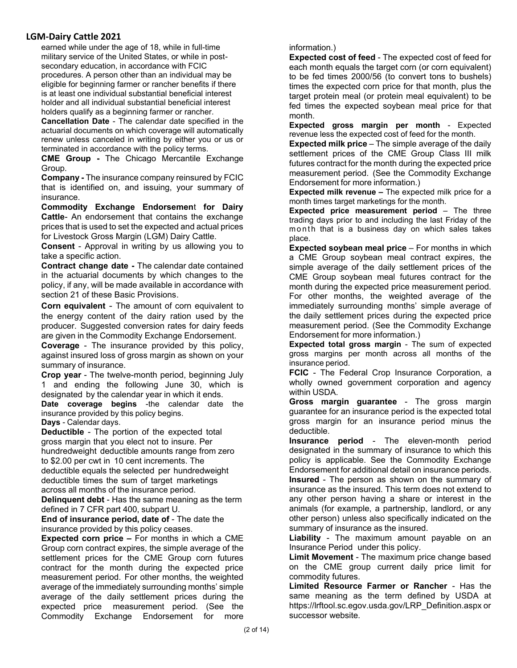earned while under the age of 18, while in full-time military service of the United States, or while in postsecondary education, in accordance with FCIC procedures. A person other than an individual may be eligible for beginning farmer or rancher benefits if there is at least one individual substantial beneficial interest holder and all individual substantial beneficial interest holders qualify as a beginning farmer or rancher.

**Cancellation Date** - The calendar date specified in the actuarial documents on which coverage will automatically renew unless canceled in writing by either you or us or terminated in accordance with the policy terms.

**CME Group -** The Chicago Mercantile Exchange Group.

**Company -** The insurance company reinsured by FCIC that is identified on, and issuing, your summary of insurance.

**Commodity Exchange Endorsemen**t **for Dairy Cattle**- An endorsement that contains the exchange prices that is used to set the expected and actual prices for Livestock Gross Margin (LGM) Dairy Cattle.

**Consent** - Approval in writing by us allowing you to take a specific action.

**Contract change date -** The calendar date contained in the actuarial documents by which changes to the policy, if any, will be made available in accordance with section 21 of these Basic Provisions.

**Corn equivalent** - The amount of corn equivalent to the energy content of the dairy ration used by the producer. Suggested conversion rates for dairy feeds are given in the Commodity Exchange Endorsement.

**Coverage** - The insurance provided by this policy, against insured loss of gross margin as shown on your summary of insurance.

**Crop year** - The twelve-month period, beginning July 1 and ending the following June 30, which is designated by the calendar year in which it ends.

**Date coverage begins** -the calendar date the insurance provided by this policy begins.

**Days** - Calendar days. **Deductible** - The portion of the expected total

gross margin that you elect not to insure. Per hundredweight deductible amounts range from zero to \$2.00 per cwt in 10 cent increments. The deductible equals the selected per hundredweight deductible times the sum of target marketings across all months of the insurance period.

**Delinquent debt** - Has the same meaning as the term defined in 7 CFR part 400, subpart U.

**End of insurance period, date of** - The date the insurance provided by this policy ceases.

**Expected corn price –** For months in which a CME Group corn contract expires, the simple average of the settlement prices for the CME Group corn futures contract for the month during the expected price measurement period. For other months, the weighted average of the immediately surrounding months' simple average of the daily settlement prices during the expected price measurement period. (See the Commodity Exchange Endorsement for more

information.)

**Expected cost of feed** - The expected cost of feed for each month equals the target corn (or corn equivalent) to be fed times 2000/56 (to convert tons to bushels) times the expected corn price for that month, plus the target protein meal (or protein meal equivalent) to be fed times the expected soybean meal price for that month.

**Expected gross margin per month** - Expected revenue less the expected cost of feed for the month.

**Expected milk price** – The simple average of the daily settlement prices of the CME Group Class III milk futures contract for the month during the expected price measurement period. (See the Commodity Exchange Endorsement for more information.)

**Expected milk revenue –** The expected milk price for a month times target marketings for the month.

**Expected price measurement period** – The three trading days prior to and including the last Friday of the m on th that is a business day on which sales takes place.

**Expected soybean meal price** – For months in which a CME Group soybean meal contract expires, the simple average of the daily settlement prices of the CME Group soybean meal futures contract for the month during the expected price measurement period. For other months, the weighted average of the immediately surrounding months' simple average of the daily settlement prices during the expected price measurement period. (See the Commodity Exchange Endorsement for more information.)

**Expected total gross margin** - The sum of expected gross margins per month across all months of the insurance period.

**FCIC** - The Federal Crop Insurance Corporation, a wholly owned government corporation and agency within USDA.

**Gross margin guarantee** - The gross margin guarantee for an insurance period is the expected total gross margin for an insurance period minus the deductible.

**Insurance period** - The eleven-month period designated in the summary of insurance to which this policy is applicable. See the Commodity Exchange Endorsement for additional detail on insurance periods.

**Insured** - The person as shown on the summary of insurance as the insured. This term does not extend to any other person having a share or interest in the animals (for example, a partnership, landlord, or any other person) unless also specifically indicated on the summary of insurance as the insured.

**Liability** - The maximum amount payable on an Insurance Period under this policy.

**Limit Movement** - The maximum price change based on the CME group current daily price limit for commodity futures.

**Limited Resource Farmer or Rancher** - Has the same meaning as the term defined by USDA at https://lrftool.sc.egov.usda.gov/LRP\_Definition.aspx or successor website.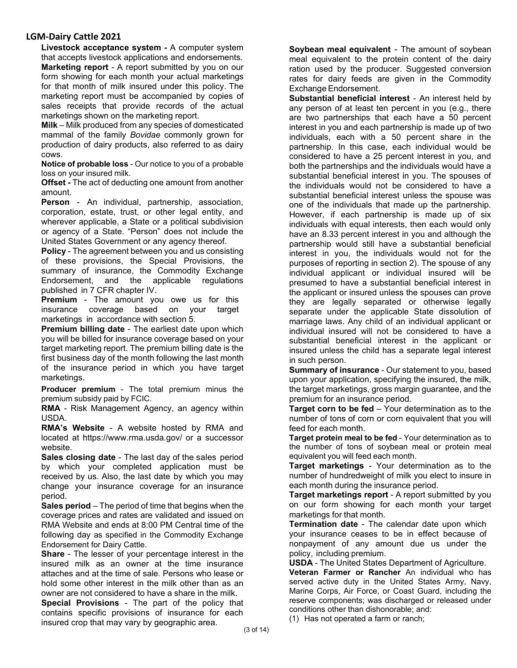**Livestock acceptance system -** A computer system that accepts livestock applications and endorsements. **Marketing report** - A report submitted by you on our form showing for each month your actual marketings for that month of milk insured under this policy. The marketing report must be accompanied by copies of sales receipts that provide records of the actual marketings shown on the marketing report.

**Milk** – Milk produced from any species of domesticated mammal of the family *Bovidae* commonly grown for production of dairy products, also referred to as dairy cows.

**Notice of probable loss** - Our notice to you of a probable loss on your insured milk.

**Offset -** The act of deducting one amount from another amount.

**Person** - An individual, partnership, association, corporation, estate, trust, or other legal entity, and wherever applicable, a State or a political subdivision or agency of a State. "Person" does not include the United States Government or any agency thereof.

**Policy** - The agreement between you and us consisting of these provisions, the Special Provisions, the summary of insurance, the Commodity Exchange Endorsement, and the applicable regulations published in 7 CFR chapter IV.

**Premium** - The amount you owe us for this insurance coverage based on your target marketings in accordance with section 5.

**Premium billing date** - The earliest date upon which you will be billed for insurance coverage based on your target marketing report. The premium billing date is the first business day of the month following the last month of the insurance period in which you have target marketings.

**Producer premium** - The total premium minus the premium subsidy paid by FCIC.

**RMA** - Risk Management Agency, an agency within USDA.

**RMA's Website** - A website hosted by RMA and located at https://www.rma.usda.gov/ or a successor website.

**Sales closing date** - The last day of the sales period by which your completed application must be received by us. Also, the last date by which you may change your insurance coverage for an insurance period.

**Sales period** – The period of time that begins when the coverage prices and rates are validated and issued on RMA Website and ends at 8:00 PM Central time of the following day as specified in the Commodity Exchange Endorsement for Dairy Cattle.

**Share** - The lesser of your percentage interest in the insured milk as an owner at the time insurance attaches and at the time of sale. Persons who lease or hold some other interest in the milk other than as an owner are not considered to have a share in the milk.

**Special Provisions** - The part of the policy that contains specific provisions of insurance for each insured crop that may vary by geographic area.

**Soybean meal equivalent** - The amount of soybean meal equivalent to the protein content of the dairy ration used by the producer. Suggested conversion rates for dairy feeds are given in the Commodity Exchange Endorsement.

**Substantial beneficial interest** - An interest held by any person of at least ten percent in you (e.g., there are two partnerships that each have a 50 percent interest in you and each partnership is made up of two individuals, each with a 50 percent share in the partnership. In this case, each individual would be considered to have a 25 percent interest in you, and both the partnerships and the individuals would have a substantial beneficial interest in you. The spouses of the individuals would not be considered to have a substantial beneficial interest unless the spouse was one of the individuals that made up the partnership. However, if each partnership is made up of six individuals with equal interests, then each would only have an 8.33 percent interest in you and although the partnership would still have a substantial beneficial interest in you, the individuals would not for the purposes of reporting in section 2). The spouse of any individual applicant or individual insured will be presumed to have a substantial beneficial interest in the applicant or insured unless the spouses can prove they are legally separated or otherwise legally separate under the applicable State dissolution of marriage laws. Any child of an individual applicant or individual insured will not be considered to have a substantial beneficial interest in the applicant or insured unless the child has a separate legal interest in such person.

**Summary of insurance** - Our statement to you, based upon your application, specifying the insured, the milk, the target marketings, gross margin guarantee, and the premium for an insurance period.

**Target corn to be fed** – Your determination as to the number of tons of corn or corn equivalent that you will feed for each month.

**Target protein meal to be fed** - Your determination as to the number of tons of soybean meal or protein meal equivalent you will feed each month.

**Target marketings** - Your determination as to the number of hundredweight of milk you elect to insure in each month during the insurance period.

**Target marketings report** - A report submitted by you on our form showing for each month your target marketings for that month.

**Termination date** - The calendar date upon which your insurance ceases to be in effect because of nonpayment of any amount due us under the policy, including premium.

**USDA** - The United States Department of Agriculture. **Veteran Farmer or Rancher** An individual who has served active duty in the United States Army, Navy, Marine Corps, Air Force, or Coast Guard, including the reserve components; was discharged or released under conditions other than dishonorable; and:

(1) Has not operated a farm or ranch;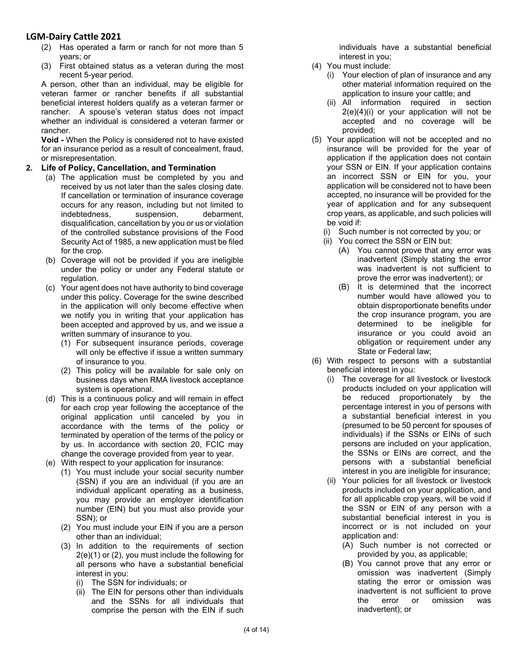- (2) Has operated a farm or ranch for not more than 5 years; or
- (3) First obtained status as a veteran during the most recent 5-year period.

A person, other than an individual, may be eligible for veteran farmer or rancher benefits if all substantial beneficial interest holders qualify as a veteran farmer or rancher. A spouse's veteran status does not impact whether an individual is considered a veteran farmer or rancher.

**Void -** When the Policy is considered not to have existed for an insurance period as a result of concealment, fraud, or misrepresentation.

#### **2. Life of Policy, Cancellation, and Termination**

- (a) The application must be completed by you and received by us not later than the sales closing date. If cancellation or termination of insurance coverage occurs for any reason, including but not limited to indebtedness, suspension, debarment, disqualification, cancellation by you or us or violation of the controlled substance provisions of the Food Security Act of 1985, a new application must be filed for the crop.
- (b) Coverage will not be provided if you are ineligible under the policy or under any Federal statute or regulation.
- (c) Your agent does not have authority to bind coverage under this policy. Coverage for the swine described in the application will only become effective when we notify you in writing that your application has been accepted and approved by us, and we issue a written summary of insurance to you.
	- (1) For subsequent insurance periods, coverage will only be effective if issue a written summary of insurance to you.
	- (2) This policy will be available for sale only on business days when RMA livestock acceptance system is operational.
- (d) This is a continuous policy and will remain in effect for each crop year following the acceptance of the original application until canceled by you in accordance with the terms of the policy or terminated by operation of the terms of the policy or by us. In accordance with section 20, FCIC may change the coverage provided from year to year.
- (e) With respect to your application for insurance:
	- (1) You must include your social security number (SSN) if you are an individual (if you are an individual applicant operating as a business, you may provide an employer identification number (EIN) but you must also provide your SSN); or
	- (2) You must include your EIN if you are a person other than an individual;
	- (3) In addition to the requirements of section 2(e)(1) or (2), you must include the following for all persons who have a substantial beneficial interest in you:
		- (i) The SSN for individuals; or
		- $(iii)$  The EIN for persons other than individuals and the SSNs for all individuals that comprise the person with the EIN if such

individuals have a substantial beneficial interest in you;

- (4) You must include:
	- (i) Your election of plan of insurance and any other material information required on the application to insure your cattle; and
	- (ii) All information required in section 2(e)(4)(i) or your application will not be accepted and no coverage will be provided;
- (5) Your application will not be accepted and no insurance will be provided for the year of application if the application does not contain your SSN or EIN. If your application contains an incorrect SSN or EIN for you, your application will be considered not to have been accepted, no insurance will be provided for the year of application and for any subsequent crop years, as applicable, and such policies will be void if:
	- (i) Such number is not corrected by you; or
	- (ii) You correct the SSN or EIN but:
		- (A) You cannot prove that any error was inadvertent (Simply stating the error was inadvertent is not sufficient to prove the error was inadvertent); or
		- (B) It is determined that the incorrect number would have allowed you to obtain disproportionate benefits under the crop insurance program, you are determined to be ineligible for insurance or you could avoid an obligation or requirement under any State or Federal law;
- (6) With respect to persons with a substantial beneficial interest in you:
	- (i) The coverage for all livestock or livestock products included on your application will be reduced proportionately by the percentage interest in you of persons with a substantial beneficial interest in you (presumed to be 50 percent for spouses of individuals) if the SSNs or EINs of such persons are included on your application, the SSNs or EINs are correct, and the persons with a substantial beneficial interest in you are ineligible for insurance;
	- (ii) Your policies for all livestock or livestock products included on your application, and for all applicable crop years, will be void if the SSN or EIN of any person with a substantial beneficial interest in you is incorrect or is not included on your application and:
		- (A) Such number is not corrected or provided by you, as applicable;
		- (B) You cannot prove that any error or omission was inadvertent (Simply stating the error or omission was inadvertent is not sufficient to prove the error or omission was inadvertent); or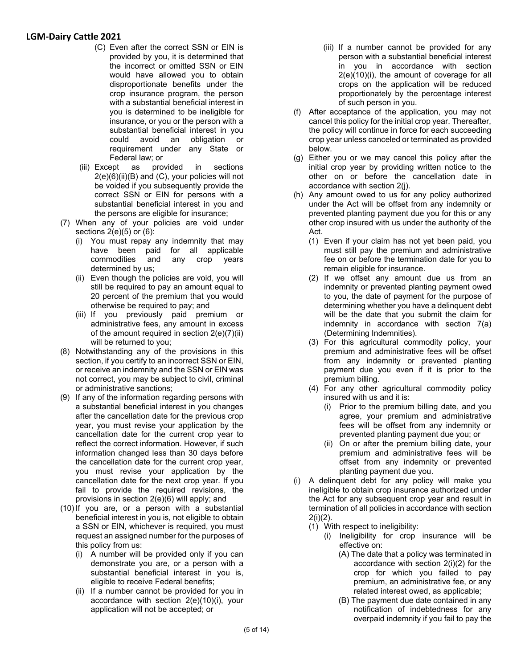- (C) Even after the correct SSN or EIN is provided by you, it is determined that the incorrect or omitted SSN or EIN would have allowed you to obtain disproportionate benefits under the crop insurance program, the person with a substantial beneficial interest in you is determined to be ineligible for insurance, or you or the person with a substantial beneficial interest in you could avoid an obligation or requirement under any State or Federal law; or
- (iii) Except as provided in sections 2(e)(6)(ii)(B) and (C), your policies will not be voided if you subsequently provide the correct SSN or EIN for persons with a substantial beneficial interest in you and the persons are eligible for insurance;
- (7) When any of your policies are void under sections 2(e)(5) or (6):
	- (i) You must repay any indemnity that may have been paid for all applicable<br>commodities and any crop years commodities and any crop years determined by us;
	- (ii) Even though the policies are void, you will still be required to pay an amount equal to 20 percent of the premium that you would otherwise be required to pay; and
	- (iii) If you previously paid premium or administrative fees, any amount in excess of the amount required in section 2(e)(7)(ii) will be returned to you;
- (8) Notwithstanding any of the provisions in this section, if you certify to an incorrect SSN or EIN, or receive an indemnity and the SSN or EIN was not correct, you may be subject to civil, criminal or administrative sanctions;
- (9) If any of the information regarding persons with a substantial beneficial interest in you changes after the cancellation date for the previous crop year, you must revise your application by the cancellation date for the current crop year to reflect the correct information. However, if such information changed less than 30 days before the cancellation date for the current crop year, you must revise your application by the cancellation date for the next crop year. If you fail to provide the required revisions, the provisions in section 2(e)(6) will apply; and
- (10) If you are, or a person with a substantial beneficial interest in you is, not eligible to obtain a SSN or EIN, whichever is required, you must request an assigned number for the purposes of this policy from us:
	- (i) A number will be provided only if you can demonstrate you are, or a person with a substantial beneficial interest in you is, eligible to receive Federal benefits;
	- (ii) If a number cannot be provided for you in accordance with section 2(e)(10)(i), your application will not be accepted; or
- (iii) If a number cannot be provided for any person with a substantial beneficial interest in you in accordance with section 2(e)(10)(i), the amount of coverage for all crops on the application will be reduced proportionately by the percentage interest of such person in you.
- (f) After acceptance of the application, you may not cancel this policy for the initial crop year. Thereafter, the policy will continue in force for each succeeding crop year unless canceled or terminated as provided below.
- (g) Either you or we may cancel this policy after the initial crop year by providing written notice to the other on or before the cancellation date in accordance with section 2(j).
- (h) Any amount owed to us for any policy authorized under the Act will be offset from any indemnity or prevented planting payment due you for this or any other crop insured with us under the authority of the Act.
	- (1) Even if your claim has not yet been paid, you must still pay the premium and administrative fee on or before the termination date for you to remain eligible for insurance.
	- (2) If we offset any amount due us from an indemnity or prevented planting payment owed to you, the date of payment for the purpose of determining whether you have a delinquent debt will be the date that you submit the claim for indemnity in accordance with section 7(a) (Determining Indemnities).
	- (3) For this agricultural commodity policy, your premium and administrative fees will be offset from any indemnity or prevented planting payment due you even if it is prior to the premium billing.
	- (4) For any other agricultural commodity policy insured with us and it is:
		- (i) Prior to the premium billing date, and you agree, your premium and administrative fees will be offset from any indemnity or prevented planting payment due you; or
		- (ii) On or after the premium billing date, your premium and administrative fees will be offset from any indemnity or prevented planting payment due you.
- (i) A delinquent debt for any policy will make you ineligible to obtain crop insurance authorized under the Act for any subsequent crop year and result in termination of all policies in accordance with section  $2(i)(2)$ .
	- (1) With respect to ineligibility:
		- (i) Ineligibility for crop insurance will be effective on:
			- (A) The date that a policy was terminated in accordance with section 2(i)(2) for the crop for which you failed to pay premium, an administrative fee, or any related interest owed, as applicable;
			- (B) The payment due date contained in any notification of indebtedness for any overpaid indemnity if you fail to pay the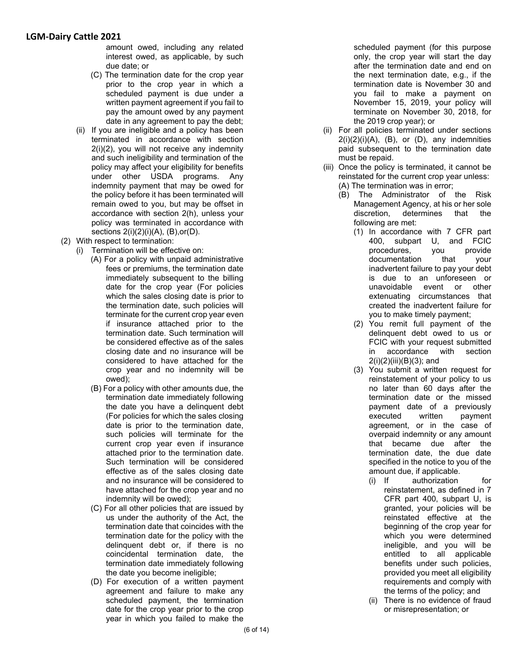amount owed, including any related interest owed, as applicable, by such due date; or

- (C) The termination date for the crop year prior to the crop year in which a scheduled payment is due under a written payment agreement if you fail to pay the amount owed by any payment date in any agreement to pay the debt;
- (ii) If you are ineligible and a policy has been terminated in accordance with section 2(i)(2), you will not receive any indemnity and such ineligibility and termination of the policy may affect your eligibility for benefits under other USDA programs. Any indemnity payment that may be owed for the policy before it has been terminated will remain owed to you, but may be offset in accordance with section 2(h), unless your policy was terminated in accordance with sections 2(i)(2)(i)(A), (B),or(D).
- (2) With respect to termination:
	- (i) Termination will be effective on:
		- (A) For a policy with unpaid administrative fees or premiums, the termination date immediately subsequent to the billing date for the crop year (For policies which the sales closing date is prior to the termination date, such policies will terminate for the current crop year even if insurance attached prior to the termination date. Such termination will be considered effective as of the sales closing date and no insurance will be considered to have attached for the crop year and no indemnity will be owed);
		- (B) For a policy with other amounts due, the termination date immediately following the date you have a delinquent debt (For policies for which the sales closing date is prior to the termination date, such policies will terminate for the current crop year even if insurance attached prior to the termination date. Such termination will be considered effective as of the sales closing date and no insurance will be considered to have attached for the crop year and no indemnity will be owed);
		- (C) For all other policies that are issued by us under the authority of the Act, the termination date that coincides with the termination date for the policy with the delinquent debt or, if there is no coincidental termination date, the termination date immediately following the date you become ineligible;
		- (D) For execution of a written payment agreement and failure to make any scheduled payment, the termination date for the crop year prior to the crop year in which you failed to make the

scheduled payment (for this purpose only, the crop year will start the day after the termination date and end on the next termination date, e.g., if the termination date is November 30 and you fail to make a payment on November 15, 2019, your policy will terminate on November 30, 2018, for the 2019 crop year); or

- (ii) For all policies terminated under sections  $2(i)(2)(i)(A)$ ,  $(B)$ , or  $(D)$ , any indemnities paid subsequent to the termination date must be repaid.
- (iii) Once the policy is terminated, it cannot be reinstated for the current crop year unless: (A) The termination was in error;
	- (B) The Administrator of the Risk Management Agency, at his or her sole discretion, determines that the following are met:
		- (1) In accordance with 7 CFR part 400, subpart U, and FCIC<br>procedures, you provide procedures, you documentation that your inadvertent failure to pay your debt is due to an unforeseen or unavoidable event or other extenuating circumstances that created the inadvertent failure for you to make timely payment;
		- (2) You remit full payment of the delinquent debt owed to us or FCIC with your request submitted in accordance with section 2(i)(2)(iii)(B)(3); and
		- (3) You submit a written request for reinstatement of your policy to us no later than 60 days after the termination date or the missed payment date of a previously executed written payment agreement, or in the case of overpaid indemnity or any amount that became due after the termination date, the due date specified in the notice to you of the amount due, if applicable.
			- (i) If authorization for reinstatement, as defined in 7 CFR part 400, subpart U, is granted, your policies will be reinstated effective at the beginning of the crop year for which you were determined ineligible, and you will be entitled to all applicable benefits under such policies, provided you meet all eligibility requirements and comply with the terms of the policy; and
			- (ii) There is no evidence of fraud or misrepresentation; or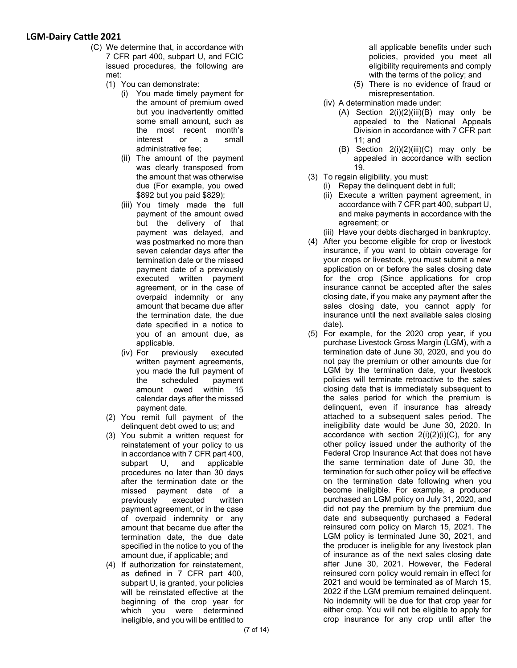- (C) We determine that, in accordance with 7 CFR part 400, subpart U, and FCIC issued procedures, the following are met:
	- (1) You can demonstrate:
		- (i) You made timely payment for the amount of premium owed but you inadvertently omitted some small amount, such as the most recent month's interest or a small administrative fee;
		- (ii) The amount of the payment was clearly transposed from the amount that was otherwise due (For example, you owed \$892 but you paid \$829);
		- (iii) You timely made the full payment of the amount owed but the delivery of that payment was delayed, and was postmarked no more than seven calendar days after the termination date or the missed payment date of a previously executed written payment agreement, or in the case of overpaid indemnity or any amount that became due after the termination date, the due date specified in a notice to you of an amount due, as applicable.
		- (iv) For previously executed written payment agreements, you made the full payment of the scheduled payment amount owed within 15 calendar days after the missed payment date.
	- (2) You remit full payment of the delinquent debt owed to us; and
	- (3) You submit a written request for reinstatement of your policy to us in accordance with 7 CFR part 400, subpart U, and applicable procedures no later than 30 days after the termination date or the missed payment date of a previously executed written payment agreement, or in the case of overpaid indemnity or any amount that became due after the termination date, the due date specified in the notice to you of the amount due, if applicable; and
	- (4) If authorization for reinstatement, as defined in 7 CFR part 400, subpart U, is granted, your policies will be reinstated effective at the beginning of the crop year for which you were determined ineligible, and you will be entitled to

all applicable benefits under such policies, provided you meet all eligibility requirements and comply with the terms of the policy; and

- (5) There is no evidence of fraud or misrepresentation.
- (iv) A determination made under:
	- (A) Section  $2(i)(2)(iii)(B)$  may only be appealed to the National Appeals Division in accordance with 7 CFR part 11; and
	- (B) Section 2(i)(2)(iii)(C) may only be appealed in accordance with section 19.
- (3) To regain eligibility, you must:
	- (i) Repay the delinquent debt in full;
		- (ii) Execute a written payment agreement, in accordance with 7 CFR part 400, subpart U, and make payments in accordance with the agreement; or
	- (iii) Have your debts discharged in bankruptcy.
- (4) After you become eligible for crop or livestock insurance, if you want to obtain coverage for your crops or livestock, you must submit a new application on or before the sales closing date for the crop (Since applications for crop insurance cannot be accepted after the sales closing date, if you make any payment after the sales closing date, you cannot apply for insurance until the next available sales closing date).
- (5) For example, for the 2020 crop year, if you purchase Livestock Gross Margin (LGM), with a termination date of June 30, 2020, and you do not pay the premium or other amounts due for LGM by the termination date, your livestock policies will terminate retroactive to the sales closing date that is immediately subsequent to the sales period for which the premium is delinquent, even if insurance has already attached to a subsequent sales period. The ineligibility date would be June 30, 2020. In accordance with section  $2(i)(2)(i)(C)$ , for any other policy issued under the authority of the Federal Crop Insurance Act that does not have the same termination date of June 30, the termination for such other policy will be effective on the termination date following when you become ineligible. For example, a producer purchased an LGM policy on July 31, 2020, and did not pay the premium by the premium due date and subsequently purchased a Federal reinsured corn policy on March 15, 2021. The LGM policy is terminated June 30, 2021, and the producer is ineligible for any livestock plan of insurance as of the next sales closing date after June 30, 2021. However, the Federal reinsured corn policy would remain in effect for 2021 and would be terminated as of March 15, 2022 if the LGM premium remained delinquent. No indemnity will be due for that crop year for either crop. You will not be eligible to apply for crop insurance for any crop until after the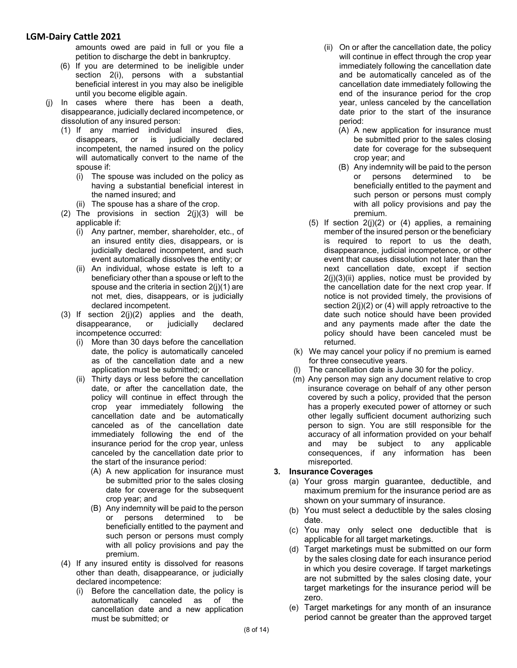amounts owed are paid in full or you file a petition to discharge the debt in bankruptcy.

- (6) If you are determined to be ineligible under section 2(i), persons with a substantial beneficial interest in you may also be ineligible until you become eligible again.
- (j) In cases where there has been a death, disappearance, judicially declared incompetence, or dissolution of any insured person:
	- (1) If any married individual insured dies, disappears, or is judicially declared incompetent, the named insured on the policy will automatically convert to the name of the spouse if:
		- (i) The spouse was included on the policy as having a substantial beneficial interest in the named insured; and
		- (ii) The spouse has a share of the crop.
	- (2) The provisions in section  $2(j)(3)$  will be applicable if:
		- (i) Any partner, member, shareholder, etc., of an insured entity dies, disappears, or is judicially declared incompetent, and such event automatically dissolves the entity; or
		- (ii) An individual, whose estate is left to a beneficiary other than a spouse or left to the spouse and the criteria in section 2(j)(1) are not met, dies, disappears, or is judicially declared incompetent.
	- (3) If section  $2(j)(2)$  applies and the death,<br>disappearance, or judicially declared disappearance, or judicially declared incompetence occurred:
		- (i) More than 30 days before the cancellation date, the policy is automatically canceled as of the cancellation date and a new application must be submitted; or
		- (ii) Thirty days or less before the cancellation date, or after the cancellation date, the policy will continue in effect through the crop year immediately following the cancellation date and be automatically canceled as of the cancellation date immediately following the end of the insurance period for the crop year, unless canceled by the cancellation date prior to the start of the insurance period:
			- (A) A new application for insurance must be submitted prior to the sales closing date for coverage for the subsequent crop year; and
			- (B) Any indemnity will be paid to the person or persons determined to be beneficially entitled to the payment and such person or persons must comply with all policy provisions and pay the premium.
	- (4) If any insured entity is dissolved for reasons other than death, disappearance, or judicially declared incompetence:
		- (i) Before the cancellation date, the policy is automatically canceled as of the cancellation date and a new application must be submitted; or
- (ii) On or after the cancellation date, the policy will continue in effect through the crop year immediately following the cancellation date and be automatically canceled as of the cancellation date immediately following the end of the insurance period for the crop year, unless canceled by the cancellation date prior to the start of the insurance period:
	- (A) A new application for insurance must be submitted prior to the sales closing date for coverage for the subsequent crop year; and
	- (B) Any indemnity will be paid to the person or persons determined to be beneficially entitled to the payment and such person or persons must comply with all policy provisions and pay the premium.
- (5) If section  $2(j)(2)$  or (4) applies, a remaining member of the insured person or the beneficiary is required to report to us the death, disappearance, judicial incompetence, or other event that causes dissolution not later than the next cancellation date, except if section  $2(j)(3)(ii)$  applies, notice must be provided by the cancellation date for the next crop year. If notice is not provided timely, the provisions of section 2(j)(2) or (4) will apply retroactive to the date such notice should have been provided and any payments made after the date the policy should have been canceled must be returned.
- (k) We may cancel your policy if no premium is earned for three consecutive years.
- (l) The cancellation date is June 30 for the policy.
- (m) Any person may sign any document relative to crop insurance coverage on behalf of any other person covered by such a policy, provided that the person has a properly executed power of attorney or such other legally sufficient document authorizing such person to sign. You are still responsible for the accuracy of all information provided on your behalf and may be subject to any applicable consequences, if any information has been misreported.

### **3. Insurance Coverages**

- (a) Your gross margin guarantee, deductible, and maximum premium for the insurance period are as shown on your summary of insurance.
- (b) You must select a deductible by the sales closing date.
- (c) You may only select one deductible that is applicable for all target marketings.
- (d) Target marketings must be submitted on our form by the sales closing date for each insurance period in which you desire coverage. If target marketings are not submitted by the sales closing date, your target marketings for the insurance period will be zero.
- (e) Target marketings for any month of an insurance period cannot be greater than the approved target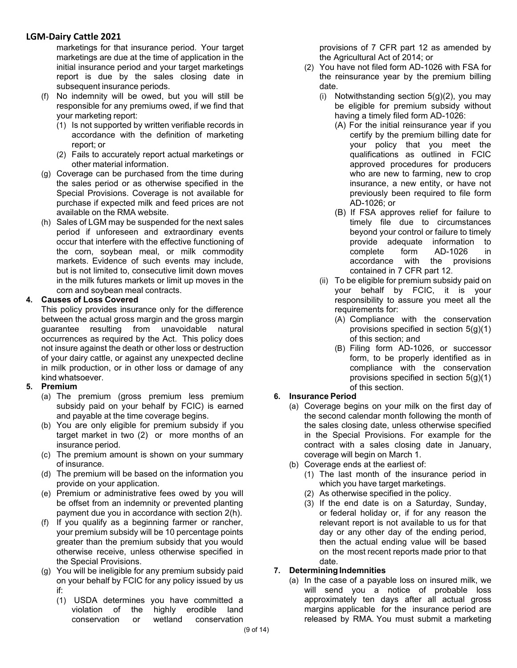marketings for that insurance period. Your target marketings are due at the time of application in the initial insurance period and your target marketings report is due by the sales closing date in subsequent insurance periods.

- (f) No indemnity will be owed, but you will still be responsible for any premiums owed, if we find that your marketing report:
	- (1) Is not supported by written verifiable records in accordance with the definition of marketing report; or
	- (2) Fails to accurately report actual marketings or other material information.
- (g) Coverage can be purchased from the time during the sales period or as otherwise specified in the Special Provisions. Coverage is not available for purchase if expected milk and feed prices are not available on the RMA website.
- (h) Sales of LGM may be suspended for the next sales period if unforeseen and extraordinary events occur that interfere with the effective functioning of the corn, soybean meal, or milk commodity markets. Evidence of such events may include, but is not limited to, consecutive limit down moves in the milk futures markets or limit up moves in the corn and soybean meal contracts.

### **4. Causes of Loss Covered**

This policy provides insurance only for the difference between the actual gross margin and the gross margin guarantee resulting from unavoidable natural occurrences as required by the Act. This policy does not insure against the death or other loss or destruction of your dairy cattle, or against any unexpected decline in milk production, or in other loss or damage of any kind whatsoever.

### **5. Premium**

- (a) The premium (gross premium less premium subsidy paid on your behalf by FCIC) is earned and payable at the time coverage begins.
- (b) You are only eligible for premium subsidy if you target market in two (2) or more months of an insurance period.
- (c) The premium amount is shown on your summary of insurance.
- (d) The premium will be based on the information you provide on your application.
- (e) Premium or administrative fees owed by you will be offset from an indemnity or prevented planting payment due you in accordance with section 2(h).
- (f) If you qualify as a beginning farmer or rancher, your premium subsidy will be 10 percentage points greater than the premium subsidy that you would otherwise receive, unless otherwise specified in the Special Provisions.
- (g) You will be ineligible for any premium subsidy paid on your behalf by FCIC for any policy issued by us if:
	- (1) USDA determines you have committed a violation of the highly erodible land conservation or wetland conservation

provisions of 7 CFR part 12 as amended by the Agricultural Act of 2014; or

- (2) You have not filed form AD-1026 with FSA for the reinsurance year by the premium billing date.
	- (i) Notwithstanding section 5(g)(2), you may be eligible for premium subsidy without having a timely filed form AD-1026:
		- (A) For the initial reinsurance year if you certify by the premium billing date for your policy that you meet the qualifications as outlined in FCIC approved procedures for producers who are new to farming, new to crop insurance, a new entity, or have not previously been required to file form AD-1026; or
		- (B) If FSA approves relief for failure to timely file due to circumstances beyond your control or failure to timely provide adequate information to complete form AD-1026 in accordance with the provisions contained in 7 CFR part 12.
	- (ii) To be eligible for premium subsidy paid on your behalf by FCIC, it is your responsibility to assure you meet all the requirements for:
		- (A) Compliance with the conservation provisions specified in section 5(g)(1) of this section; and
		- (B) Filing form AD-1026, or successor form, to be properly identified as in compliance with the conservation provisions specified in section 5(g)(1) of this section.

### **6. Insurance Period**

- (a) Coverage begins on your milk on the first day of the second calendar month following the month of the sales closing date, unless otherwise specified in the Special Provisions. For example for the contract with a sales closing date in January, coverage will begin on March 1.
- (b) Coverage ends at the earliest of:
	- (1) The last month of the insurance period in which you have target marketings.
	- (2) As otherwise specified in the policy.
	- (3) If the end date is on a Saturday, Sunday, or federal holiday or, if for any reason the relevant report is not available to us for that day or any other day of the ending period, then the actual ending value will be based on the most recent reports made prior to that date.

### **7. Determining Indemnities**

(a) In the case of a payable loss on insured milk, we will send you a notice of probable loss approximately ten days after all actual gross margins applicable for the insurance period are released by RMA. You must submit a marketing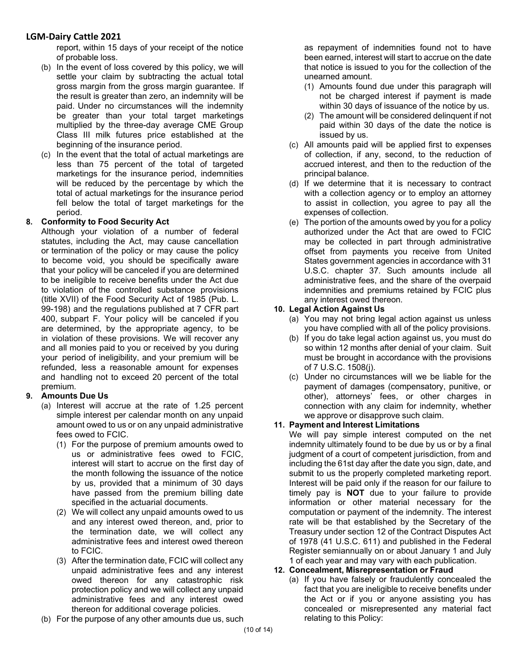report, within 15 days of your receipt of the notice of probable loss.

- (b) In the event of loss covered by this policy, we will settle your claim by subtracting the actual total gross margin from the gross margin guarantee. If the result is greater than zero, an indemnity will be paid. Under no circumstances will the indemnity be greater than your total target marketings multiplied by the three-day average CME Group Class III milk futures price established at the beginning of the insurance period.
- (c) In the event that the total of actual marketings are less than 75 percent of the total of targeted marketings for the insurance period, indemnities will be reduced by the percentage by which the total of actual marketings for the insurance period fell below the total of target marketings for the period.

### **8. Conformity to Food Security Act**

Although your violation of a number of federal statutes, including the Act, may cause cancellation or termination of the policy or may cause the policy to become void, you should be specifically aware that your policy will be canceled if you are determined to be ineligible to receive benefits under the Act due to violation of the controlled substance provisions (title XVII) of the Food Security Act of 1985 (Pub. L. 99-198) and the regulations published at 7 CFR part 400, subpart F. Your policy will be canceled if you are determined, by the appropriate agency, to be in violation of these provisions. We will recover any and all monies paid to you or received by you during your period of ineligibility, and your premium will be refunded, less a reasonable amount for expenses and handling not to exceed 20 percent of the total premium.

### **9. Amounts Due Us**

- (a) Interest will accrue at the rate of 1.25 percent simple interest per calendar month on any unpaid amount owed to us or on any unpaid administrative fees owed to FCIC.
	- (1) For the purpose of premium amounts owed to us or administrative fees owed to FCIC, interest will start to accrue on the first day of the month following the issuance of the notice by us, provided that a minimum of 30 days have passed from the premium billing date specified in the actuarial documents.
	- (2) We will collect any unpaid amounts owed to us and any interest owed thereon, and, prior to the termination date, we will collect any administrative fees and interest owed thereon to FCIC.
	- (3) After the termination date, FCIC will collect any unpaid administrative fees and any interest owed thereon for any catastrophic risk protection policy and we will collect any unpaid administrative fees and any interest owed thereon for additional coverage policies.
- (b) For the purpose of any other amounts due us, such

as repayment of indemnities found not to have been earned, interest will start to accrue on the date that notice is issued to you for the collection of the unearned amount.

- (1) Amounts found due under this paragraph will not be charged interest if payment is made within 30 days of issuance of the notice by us.
- (2) The amount will be considered delinquent if not paid within 30 days of the date the notice is issued by us.
- (c) All amounts paid will be applied first to expenses of collection, if any, second, to the reduction of accrued interest, and then to the reduction of the principal balance.
- (d) If we determine that it is necessary to contract with a collection agency or to employ an attorney to assist in collection, you agree to pay all the expenses of collection.
- (e) The portion of the amounts owed by you for a policy authorized under the Act that are owed to FCIC may be collected in part through administrative offset from payments you receive from United States government agencies in accordance with 31 U.S.C. chapter 37. Such amounts include all administrative fees, and the share of the overpaid indemnities and premiums retained by FCIC plus any interest owed thereon.

### **10. Legal Action Against Us**

- (a) You may not bring legal action against us unless you have complied with all of the policy provisions.
- (b) If you do take legal action against us, you must do so within 12 months after denial of your claim. Suit must be brought in accordance with the provisions of 7 U.S.C. 1508(j).
- (c) Under no circumstances will we be liable for the payment of damages (compensatory, punitive, or other), attorneys' fees, or other charges in connection with any claim for indemnity, whether we approve or disapprove such claim.

### **11. Payment and Interest Limitations**

We will pay simple interest computed on the net indemnity ultimately found to be due by us or by a final judgment of a court of competent jurisdiction, from and including the 61st day after the date you sign, date, and submit to us the properly completed marketing report. Interest will be paid only if the reason for our failure to timely pay is **NOT** due to your failure to provide information or other material necessary for the computation or payment of the indemnity. The interest rate will be that established by the Secretary of the Treasury under section 12 of the Contract Disputes Act of 1978 (41 U.S.C. 611) and published in the Federal Register semiannually on or about January 1 and July 1 of each year and may vary with each publication.

#### **12. Concealment, Misrepresentation or Fraud**

(a) If you have falsely or fraudulently concealed the fact that you are ineligible to receive benefits under the Act or if you or anyone assisting you has concealed or misrepresented any material fact relating to this Policy: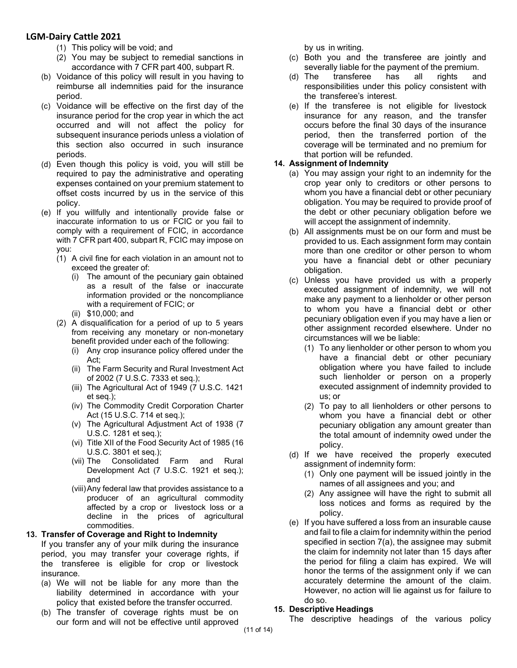- (1) This policy will be void; and
- (2) You may be subject to remedial sanctions in accordance with 7 CFR part 400, subpart R.
- (b) Voidance of this policy will result in you having to reimburse all indemnities paid for the insurance period.
- (c) Voidance will be effective on the first day of the insurance period for the crop year in which the act occurred and will not affect the policy for subsequent insurance periods unless a violation of this section also occurred in such insurance periods.
- (d) Even though this policy is void, you will still be required to pay the administrative and operating expenses contained on your premium statement to offset costs incurred by us in the service of this policy.
- (e) If you willfully and intentionally provide false or inaccurate information to us or FCIC or you fail to comply with a requirement of FCIC, in accordance with 7 CFR part 400, subpart R, FCIC may impose on you:
	- (1) A civil fine for each violation in an amount not to exceed the greater of:
		- (i) The amount of the pecuniary gain obtained as a result of the false or inaccurate information provided or the noncompliance with a requirement of FCIC; or
		- (ii) \$10,000; and
	- (2) A disqualification for a period of up to 5 years from receiving any monetary or non-monetary benefit provided under each of the following:
		- (i) Any crop insurance policy offered under the Act;
		- (ii) The Farm Security and Rural Investment Act of 2002 (7 U.S.C. 7333 et seq.);
		- (iii) The Agricultural Act of 1949 (7 U.S.C. 1421 et seq.);
		- (iv) The Commodity Credit Corporation Charter Act (15 U.S.C. 714 et seq.);
		- (v) The Agricultural Adjustment Act of 1938 (7 U.S.C. 1281 et seq.);
		- (vi) Title XII of the Food Security Act of 1985 (16 U.S.C. 3801 et seq.);
		- (vii) The Consolidated Farm and Rural Development Act (7 U.S.C. 1921 et seq.); and
		- (viii)Any federal law that provides assistance to a producer of an agricultural commodity affected by a crop or livestock loss or a decline in the prices of agricultural commodities.

### **13. Transfer of Coverage and Right to Indemnity**

If you transfer any of your milk during the insurance period, you may transfer your coverage rights, if the transferee is eligible for crop or livestock insurance.

- (a) We will not be liable for any more than the liability determined in accordance with your policy that existed before the transfer occurred.
- (b) The transfer of coverage rights must be on our form and will not be effective until approved

by us in writing.

- (c) Both you and the transferee are jointly and severally liable for the payment of the premium.
- (d) The transferee has all rights and responsibilities under this policy consistent with the transferee's interest.
- (e) If the transferee is not eligible for livestock insurance for any reason, and the transfer occurs before the final 30 days of the insurance period, then the transferred portion of the coverage will be terminated and no premium for that portion will be refunded.

### **14. Assignment of Indemnity**

- (a) You may assign your right to an indemnity for the crop year only to creditors or other persons to whom you have a financial debt or other pecuniary obligation. You may be required to provide proof of the debt or other pecuniary obligation before we will accept the assignment of indemnity.
- (b) All assignments must be on our form and must be provided to us. Each assignment form may contain more than one creditor or other person to whom you have a financial debt or other pecuniary obligation.
- (c) Unless you have provided us with a properly executed assignment of indemnity, we will not make any payment to a lienholder or other person to whom you have a financial debt or other pecuniary obligation even if you may have a lien or other assignment recorded elsewhere. Under no circumstances will we be liable:
	- (1) To any lienholder or other person to whom you have a financial debt or other pecuniary obligation where you have failed to include such lienholder or person on a properly executed assignment of indemnity provided to us; or
	- (2) To pay to all lienholders or other persons to whom you have a financial debt or other pecuniary obligation any amount greater than the total amount of indemnity owed under the policy.
- (d) If we have received the properly executed assignment of indemnity form:
	- (1) Only one payment will be issued jointly in the names of all assignees and you; and
	- (2) Any assignee will have the right to submit all loss notices and forms as required by the policy.
- (e) If you have suffered a loss from an insurable cause and fail to file a claim for indemnity within the period specified in section 7(a), the assignee may submit the claim for indemnity not later than 15 days after the period for filing a claim has expired. We will honor the terms of the assignment only if we can accurately determine the amount of the claim. However, no action will lie against us for failure to do so.

### **15. Descriptive Headings**

The descriptive headings of the various policy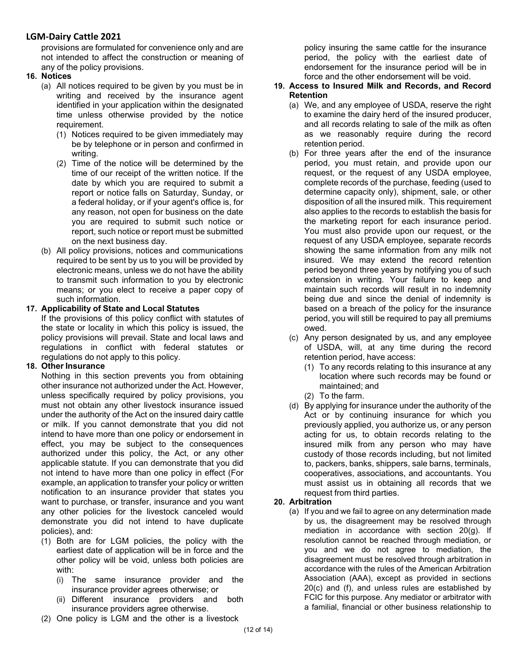provisions are formulated for convenience only and are not intended to affect the construction or meaning of any of the policy provisions.

- **16. Notices**
	- (a) All notices required to be given by you must be in writing and received by the insurance agent identified in your application within the designated time unless otherwise provided by the notice requirement.
		- (1) Notices required to be given immediately may be by telephone or in person and confirmed in writing.
		- (2) Time of the notice will be determined by the time of our receipt of the written notice. If the date by which you are required to submit a report or notice falls on Saturday, Sunday, or a federal holiday, or if your agent's office is, for any reason, not open for business on the date you are required to submit such notice or report, such notice or report must be submitted on the next business day.
	- (b) All policy provisions, notices and communications required to be sent by us to you will be provided by electronic means, unless we do not have the ability to transmit such information to you by electronic means; or you elect to receive a paper copy of such information.

#### **17. Applicability of State and Local Statutes**

If the provisions of this policy conflict with statutes of the state or locality in which this policy is issued, the policy provisions will prevail. State and local laws and regulations in conflict with federal statutes or regulations do not apply to this policy.

### **18. Other Insurance**

Nothing in this section prevents you from obtaining other insurance not authorized under the Act. However, unless specifically required by policy provisions, you must not obtain any other livestock insurance issued under the authority of the Act on the insured dairy cattle or milk. If you cannot demonstrate that you did not intend to have more than one policy or endorsement in effect, you may be subject to the consequences authorized under this policy, the Act, or any other applicable statute. If you can demonstrate that you did not intend to have more than one policy in effect (For example, an application to transfer your policy or written notification to an insurance provider that states you want to purchase, or transfer, insurance and you want any other policies for the livestock canceled would demonstrate you did not intend to have duplicate policies), and:

- (1) Both are for LGM policies, the policy with the earliest date of application will be in force and the other policy will be void, unless both policies are with:
	- (i) The same insurance provider and the insurance provider agrees otherwise; or
	- (ii) Different insurance providers and both insurance providers agree otherwise.
- (2) One policy is LGM and the other is a livestock

policy insuring the same cattle for the insurance period, the policy with the earliest date of endorsement for the insurance period will be in force and the other endorsement will be void.

### **19. Access to Insured Milk and Records, and Record Retention**

- (a) We, and any employee of USDA, reserve the right to examine the dairy herd of the insured producer, and all records relating to sale of the milk as often as we reasonably require during the record retention period.
- (b) For three years after the end of the insurance period, you must retain, and provide upon our request, or the request of any USDA employee, complete records of the purchase, feeding (used to determine capacity only), shipment, sale, or other disposition of all the insured milk. This requirement also applies to the records to establish the basis for the marketing report for each insurance period. You must also provide upon our request, or the request of any USDA employee, separate records showing the same information from any milk not insured. We may extend the record retention period beyond three years by notifying you of such extension in writing. Your failure to keep and maintain such records will result in no indemnity being due and since the denial of indemnity is based on a breach of the policy for the insurance period, you will still be required to pay all premiums owed.
- (c) Any person designated by us, and any employee of USDA, will, at any time during the record retention period, have access:
	- (1) To any records relating to this insurance at any location where such records may be found or maintained; and
	- (2) To the farm.
- (d) By applying for insurance under the authority of the Act or by continuing insurance for which you previously applied, you authorize us, or any person acting for us, to obtain records relating to the insured milk from any person who may have custody of those records including, but not limited to, packers, banks, shippers, sale barns, terminals, cooperatives, associations, and accountants. You must assist us in obtaining all records that we request from third parties.

### **20. Arbitration**

(a) If you and we fail to agree on any determination made by us, the disagreement may be resolved through mediation in accordance with section 20(g). If resolution cannot be reached through mediation, or you and we do not agree to mediation, the disagreement must be resolved through arbitration in accordance with the rules of the American Arbitration Association (AAA), except as provided in sections 20(c) and (f), and unless rules are established by FCIC for this purpose. Any mediator or arbitrator with a familial, financial or other business relationship to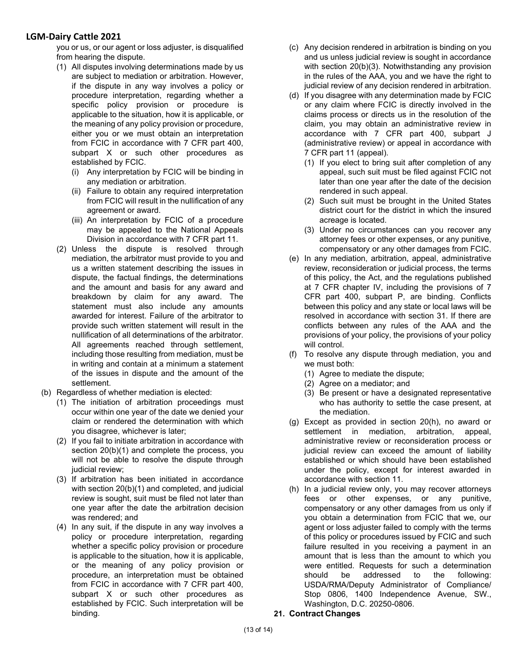you or us, or our agent or loss adjuster, is disqualified from hearing the dispute.

- (1) All disputes involving determinations made by us are subject to mediation or arbitration. However, if the dispute in any way involves a policy or procedure interpretation, regarding whether a specific policy provision or procedure is applicable to the situation, how it is applicable, or the meaning of any policy provision or procedure, either you or we must obtain an interpretation from FCIC in accordance with 7 CFR part 400, subpart X or such other procedures as established by FCIC.
	- (i) Any interpretation by FCIC will be binding in any mediation or arbitration.
	- (ii) Failure to obtain any required interpretation from FCIC will result in the nullification of any agreement or award.
	- (iii) An interpretation by FCIC of a procedure may be appealed to the National Appeals Division in accordance with 7 CFR part 11.
- (2) Unless the dispute is resolved through mediation, the arbitrator must provide to you and us a written statement describing the issues in dispute, the factual findings, the determinations and the amount and basis for any award and breakdown by claim for any award. The statement must also include any amounts awarded for interest. Failure of the arbitrator to provide such written statement will result in the nullification of all determinations of the arbitrator. All agreements reached through settlement, including those resulting from mediation, must be in writing and contain at a minimum a statement of the issues in dispute and the amount of the settlement.
- (b) Regardless of whether mediation is elected:
	- (1) The initiation of arbitration proceedings must occur within one year of the date we denied your claim or rendered the determination with which you disagree, whichever is later;
	- (2) If you fail to initiate arbitration in accordance with section 20(b)(1) and complete the process, you will not be able to resolve the dispute through judicial review;
	- (3) If arbitration has been initiated in accordance with section 20(b)(1) and completed, and judicial review is sought, suit must be filed not later than one year after the date the arbitration decision was rendered; and
	- (4) In any suit, if the dispute in any way involves a policy or procedure interpretation, regarding whether a specific policy provision or procedure is applicable to the situation, how it is applicable, or the meaning of any policy provision or procedure, an interpretation must be obtained from FCIC in accordance with 7 CFR part 400, subpart X or such other procedures as established by FCIC. Such interpretation will be binding.
- (c) Any decision rendered in arbitration is binding on you and us unless judicial review is sought in accordance with section 20(b)(3). Notwithstanding any provision in the rules of the AAA, you and we have the right to judicial review of any decision rendered in arbitration.
- (d) If you disagree with any determination made by FCIC or any claim where FCIC is directly involved in the claims process or directs us in the resolution of the claim, you may obtain an administrative review in accordance with 7 CFR part 400, subpart J (administrative review) or appeal in accordance with 7 CFR part 11 (appeal).
	- (1) If you elect to bring suit after completion of any appeal, such suit must be filed against FCIC not later than one year after the date of the decision rendered in such appeal.
	- (2) Such suit must be brought in the United States district court for the district in which the insured acreage is located.
	- (3) Under no circumstances can you recover any attorney fees or other expenses, or any punitive, compensatory or any other damages from FCIC.
- (e) In any mediation, arbitration, appeal, administrative review, reconsideration or judicial process, the terms of this policy, the Act, and the regulations published at 7 CFR chapter IV, including the provisions of 7 CFR part 400, subpart P, are binding. Conflicts between this policy and any state or local laws will be resolved in accordance with section 31. If there are conflicts between any rules of the AAA and the provisions of your policy, the provisions of your policy will control.
- (f) To resolve any dispute through mediation, you and we must both:
	- (1) Agree to mediate the dispute;
	- (2) Agree on a mediator; and
	- (3) Be present or have a designated representative who has authority to settle the case present, at the mediation.
- (g) Except as provided in section 20(h), no award or settlement in mediation, arbitration, appeal, administrative review or reconsideration process or judicial review can exceed the amount of liability established or which should have been established under the policy, except for interest awarded in accordance with section 11.
- (h) In a judicial review only, you may recover attorneys fees or other expenses, or any punitive, compensatory or any other damages from us only if you obtain a determination from FCIC that we, our agent or loss adjuster failed to comply with the terms of this policy or procedures issued by FCIC and such failure resulted in you receiving a payment in an amount that is less than the amount to which you were entitled. Requests for such a determination should be addressed to the following: USDA/RMA/Deputy Administrator of Compliance/ Stop 0806, 1400 Independence Avenue, SW., Washington, D.C. 20250-0806.
- **21. Contract Changes**